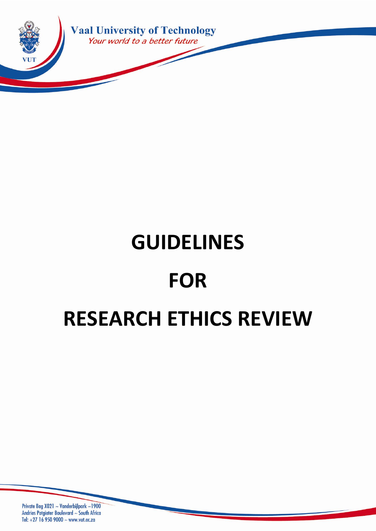

# **GUIDELINES FOR RESEARCH ETHICS REVIEW**

Private Bag X021 ~ Vanderbijlpark ~1900 Andries Potgieter Boulevard ~ South Africa Tel: +27 16 950 9000 ~ www.vut.ac.za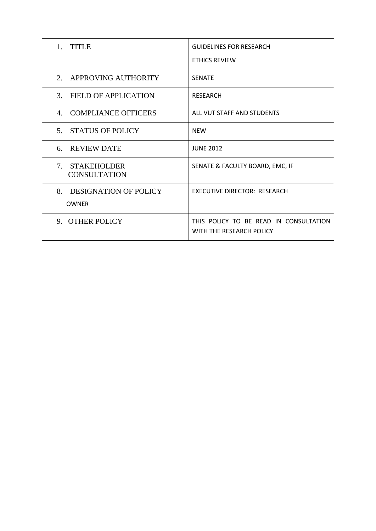| 1. TITLE                                           | <b>GUIDELINES FOR RESEARCH</b>                                     |
|----------------------------------------------------|--------------------------------------------------------------------|
|                                                    | <b>ETHICS REVIEW</b>                                               |
| 2.<br>APPROVING AUTHORITY                          | <b>SENATE</b>                                                      |
| 3. FIELD OF APPLICATION                            | <b>RESEARCH</b>                                                    |
| 4. COMPLIANCE OFFICERS                             | ALL VUT STAFF AND STUDENTS                                         |
| 5 <sup>7</sup><br><b>STATUS OF POLICY</b>          | <b>NEW</b>                                                         |
| 6. REVIEW DATE                                     | <b>JUNE 2012</b>                                                   |
| 7. STAKEHOLDER<br><b>CONSULTATION</b>              | SENATE & FACULTY BOARD, EMC, IF                                    |
| 8.<br><b>DESIGNATION OF POLICY</b><br><b>OWNER</b> | <b>EXECUTIVE DIRECTOR: RESEARCH</b>                                |
| 9. OTHER POLICY                                    | THIS POLICY TO BE READ IN CONSULTATION<br>WITH THE RESEARCH POLICY |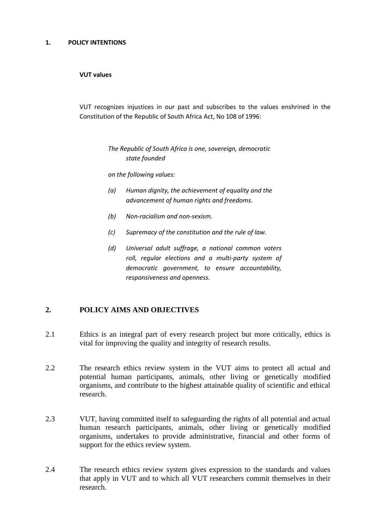#### **1. POLICY INTENTIONS**

#### **VUT values**

VUT recognizes injustices in our past and subscribes to the values enshrined in the Constitution of the Republic of South Africa Act, No 108 of 1996:

> *The Republic of South Africa is one, sovereign, democratic state founded*

*on the following values:*

- *(a) Human dignity, the achievement of equality and the advancement of human rights and freedoms.*
- *(b) Non-racialism and non-sexism.*
- *(c) Supremacy of the constitution and the rule of law.*
- *(d) Universal adult suffrage, a national common voters roll, regular elections and a multi-party system of democratic government, to ensure accountability, responsiveness and openness.*

# **2. POLICY AIMS AND OBJECTIVES**

- 2.1 Ethics is an integral part of every research project but more critically, ethics is vital for improving the quality and integrity of research results.
- 2.2 The research ethics review system in the VUT aims to protect all actual and potential human participants, animals, other living or genetically modified organisms, and contribute to the highest attainable quality of scientific and ethical research.
- 2.3 VUT, having committed itself to safeguarding the rights of all potential and actual human research participants, animals, other living or genetically modified organisms, undertakes to provide administrative, financial and other forms of support for the ethics review system.
- 2.4 The research ethics review system gives expression to the standards and values that apply in VUT and to which all VUT researchers commit themselves in their research.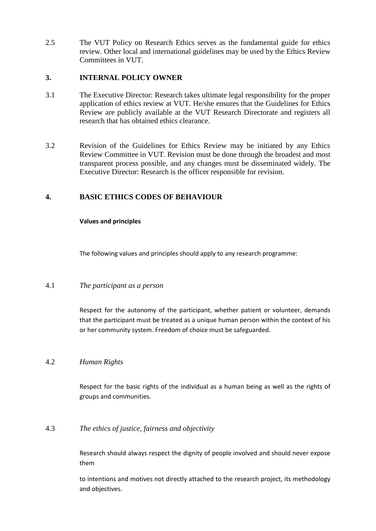2.5 The VUT Policy on Research Ethics serves as the fundamental guide for ethics review. Other local and international guidelines may be used by the Ethics Review Committees in VUT.

# **3. INTERNAL POLICY OWNER**

- 3.1 The Executive Director: Research takes ultimate legal responsibility for the proper application of ethics review at VUT. He/she ensures that the Guidelines for Ethics Review are publicly available at the VUT Research Directorate and registers all research that has obtained ethics clearance.
- 3.2 Revision of the Guidelines for Ethics Review may be initiated by any Ethics Review Committee in VUT. Revision must be done through the broadest and most transparent process possible, and any changes must be disseminated widely. The Executive Director: Research is the officer responsible for revision.

# **4. BASIC ETHICS CODES OF BEHAVIOUR**

# **Values and principles**

The following values and principles should apply to any research programme:

# 4.1 *The participant as a person*

Respect for the autonomy of the participant, whether patient or volunteer, demands that the participant must be treated as a unique human person within the context of his or her community system. Freedom of choice must be safeguarded.

# 4.2 *Human Rights*

Respect for the basic rights of the individual as a human being as well as the rights of groups and communities.

# 4.3 *The ethics of justice, fairness and objectivity*

Research should always respect the dignity of people involved and should never expose them

to intentions and motives not directly attached to the research project, its methodology and objectives.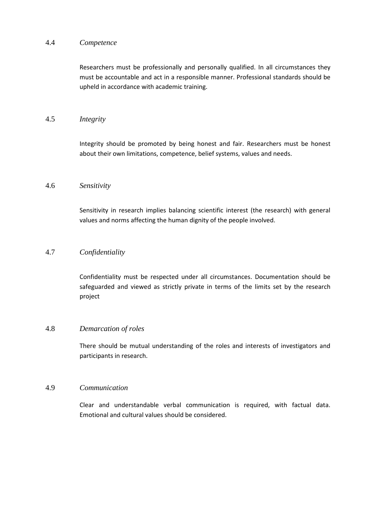#### 4.4 *Competence*

Researchers must be professionally and personally qualified. In all circumstances they must be accountable and act in a responsible manner. Professional standards should be upheld in accordance with academic training.

# 4.5 *Integrity*

Integrity should be promoted by being honest and fair. Researchers must be honest about their own limitations, competence, belief systems, values and needs.

#### 4.6 *Sensitivity*

Sensitivity in research implies balancing scientific interest (the research) with general values and norms affecting the human dignity of the people involved.

# 4.7 *Confidentiality*

Confidentiality must be respected under all circumstances. Documentation should be safeguarded and viewed as strictly private in terms of the limits set by the research project

#### 4.8 *Demarcation of roles*

There should be mutual understanding of the roles and interests of investigators and participants in research.

#### 4.9 *Communication*

Clear and understandable verbal communication is required, with factual data. Emotional and cultural values should be considered.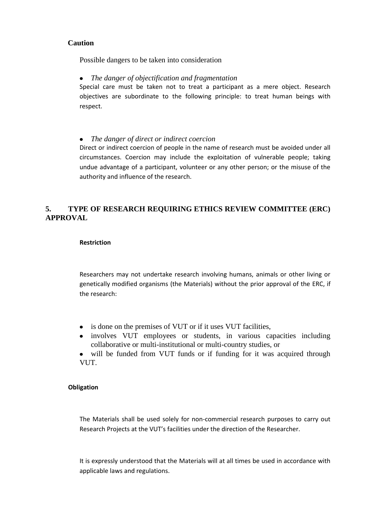# **Caution**

Possible dangers to be taken into consideration

 $\bullet$ *The danger of objectification and fragmentation*

Special care must be taken not to treat a participant as a mere object. Research objectives are subordinate to the following principle: to treat human beings with respect.

*The danger of direct or indirect coercion*  $\bullet$ 

Direct or indirect coercion of people in the name of research must be avoided under all circumstances. Coercion may include the exploitation of vulnerable people; taking undue advantage of a participant, volunteer or any other person; or the misuse of the authority and influence of the research.

# **5. TYPE OF RESEARCH REQUIRING ETHICS REVIEW COMMITTEE (ERC) APPROVAL**

#### **Restriction**

Researchers may not undertake research involving humans, animals or other living or genetically modified organisms (the Materials) without the prior approval of the ERC, if the research:

- is done on the premises of VUT or if it uses VUT facilities,
- involves VUT employees or students, in various capacities including collaborative or multi-institutional or multi-country studies, or
- will be funded from VUT funds or if funding for it was acquired through VUT.

#### **Obligation**

The Materials shall be used solely for non-commercial research purposes to carry out Research Projects at the VUT's facilities under the direction of the Researcher.

It is expressly understood that the Materials will at all times be used in accordance with applicable laws and regulations.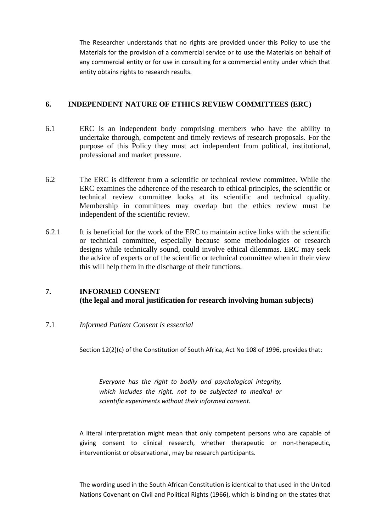The Researcher understands that no rights are provided under this Policy to use the Materials for the provision of a commercial service or to use the Materials on behalf of any commercial entity or for use in consulting for a commercial entity under which that entity obtains rights to research results.

# **6. INDEPENDENT NATURE OF ETHICS REVIEW COMMITTEES (ERC)**

- 6.1 ERC is an independent body comprising members who have the ability to undertake thorough, competent and timely reviews of research proposals. For the purpose of this Policy they must act independent from political, institutional, professional and market pressure.
- 6.2 The ERC is different from a scientific or technical review committee. While the ERC examines the adherence of the research to ethical principles, the scientific or technical review committee looks at its scientific and technical quality. Membership in committees may overlap but the ethics review must be independent of the scientific review.
- 6.2.1 It is beneficial for the work of the ERC to maintain active links with the scientific or technical committee, especially because some methodologies or research designs while technically sound, could involve ethical dilemmas. ERC may seek the advice of experts or of the scientific or technical committee when in their view this will help them in the discharge of their functions.

# **7. INFORMED CONSENT (the legal and moral justification for research involving human subjects)**

7.1 *Informed Patient Consent is essential*

Section 12(2)(c) of the Constitution of South Africa, Act No 108 of 1996, provides that:

*Everyone has the right to bodily and psychological integrity, which includes the right. not to be subjected to medical or scientific experiments without their informed consent.*

A literal interpretation might mean that only competent persons who are capable of giving consent to clinical research, whether therapeutic or non-therapeutic, interventionist or observational, may be research participants.

The wording used in the South African Constitution is identical to that used in the United Nations Covenant on Civil and Political Rights (1966), which is binding on the states that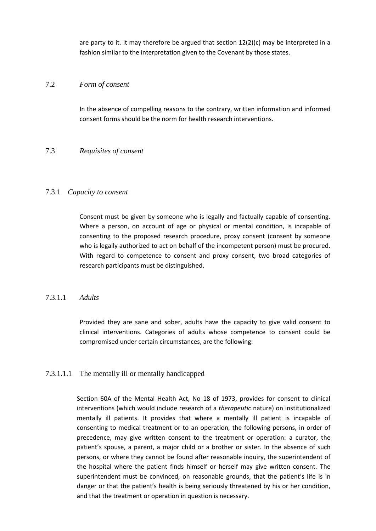are party to it. It may therefore be argued that section 12(2)(c) may be interpreted in a fashion similar to the interpretation given to the Covenant by those states.

## 7.2 *Form of consent*

In the absence of compelling reasons to the contrary, written information and informed consent forms should be the norm for health research interventions.

#### 7.3 *Requisites of consent*

#### 7.3.1 *Capacity to consent*

Consent must be given by someone who is legally and factually capable of consenting. Where a person, on account of age or physical or mental condition, is incapable of consenting to the proposed research procedure, proxy consent (consent by someone who is legally authorized to act on behalf of the incompetent person) must be procured. With regard to competence to consent and proxy consent, two broad categories of research participants must be distinguished.

#### 7.3.1.1 *Adults*

Provided they are sane and sober, adults have the capacity to give valid consent to clinical interventions. Categories of adults whose competence to consent could be compromised under certain circumstances, are the following:

# 7.3.1.1.1 The mentally ill or mentally handicapped

Section 60A of the Mental Health Act, No 18 of 1973, provides for consent to clinical interventions (which would include research of a *therapeutic* nature) on institutionalized mentally ill patients. It provides that where a mentally ill patient is incapable of consenting to medical treatment or to an operation, the following persons, in order of precedence, may give written consent to the treatment or operation: a curator, the patient's spouse, a parent, a major child or a brother or sister. In the absence of such persons, or where they cannot be found after reasonable inquiry, the superintendent of the hospital where the patient finds himself or herself may give written consent. The superintendent must be convinced, on reasonable grounds, that the patient's life is in danger or that the patient's health is being seriously threatened by his or her condition, and that the treatment or operation in question is necessary.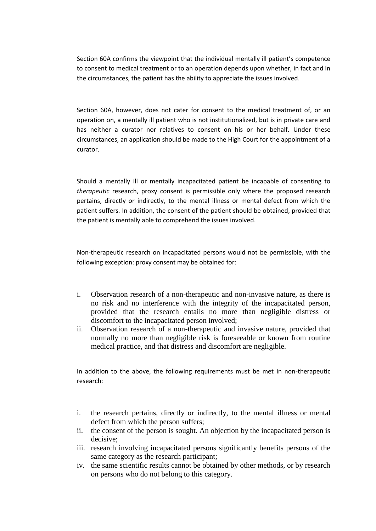Section 60A confirms the viewpoint that the individual mentally ill patient's competence to consent to medical treatment or to an operation depends upon whether, in fact and in the circumstances, the patient has the ability to appreciate the issues involved.

Section 60A, however, does not cater for consent to the medical treatment of, or an operation on, a mentally ill patient who is not institutionalized, but is in private care and has neither a curator nor relatives to consent on his or her behalf. Under these circumstances, an application should be made to the High Court for the appointment of a curator.

Should a mentally ill or mentally incapacitated patient be incapable of consenting to *therapeutic* research, proxy consent is permissible only where the proposed research pertains, directly or indirectly, to the mental illness or mental defect from which the patient suffers. In addition, the consent of the patient should be obtained, provided that the patient is mentally able to comprehend the issues involved.

Non-therapeutic research on incapacitated persons would not be permissible, with the following exception: proxy consent may be obtained for:

- i. Observation research of a non-therapeutic and non-invasive nature, as there is no risk and no interference with the integrity of the incapacitated person, provided that the research entails no more than negligible distress or discomfort to the incapacitated person involved;
- ii. Observation research of a non-therapeutic and invasive nature, provided that normally no more than negligible risk is foreseeable or known from routine medical practice, and that distress and discomfort are negligible.

In addition to the above, the following requirements must be met in non-therapeutic research:

- i. the research pertains, directly or indirectly, to the mental illness or mental defect from which the person suffers;
- ii. the consent of the person is sought. An objection by the incapacitated person is decisive;
- iii. research involving incapacitated persons significantly benefits persons of the same category as the research participant;
- iv. the same scientific results cannot be obtained by other methods, or by research on persons who do not belong to this category.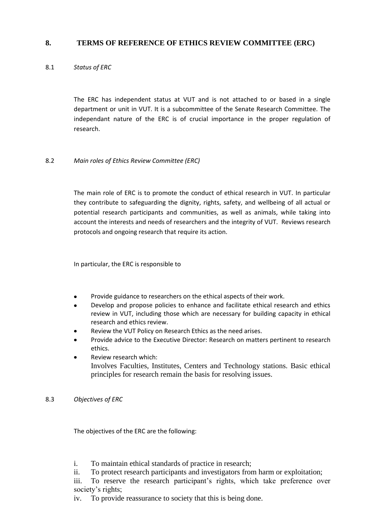# **8. TERMS OF REFERENCE OF ETHICS REVIEW COMMITTEE (ERC)**

# 8.1 *Status of ERC*

The ERC has independent status at VUT and is not attached to or based in a single department or unit in VUT. It is a subcommittee of the Senate Research Committee. The independant nature of the ERC is of crucial importance in the proper regulation of research.

# 8.2 *Main roles of Ethics Review Committee (ERC)*

The main role of ERC is to promote the conduct of ethical research in VUT. In particular they contribute to safeguarding the dignity, rights, safety, and wellbeing of all actual or potential research participants and communities, as well as animals, while taking into account the interests and needs of researchers and the integrity of VUT. Reviews research protocols and ongoing research that require its action.

In particular, the ERC is responsible to

- Provide guidance to researchers on the ethical aspects of their work.
- Develop and propose policies to enhance and facilitate ethical research and ethics review in VUT, including those which are necessary for building capacity in ethical research and ethics review.
- Review the VUT Policy on Research Ethics as the need arises.
- Provide advice to the Executive Director: Research on matters pertinent to research ethics.
- Review research which: Involves Faculties, Institutes, Centers and Technology stations. Basic ethical principles for research remain the basis for resolving issues.

8.3 *Objectives of ERC*

The objectives of the ERC are the following:

- i. To maintain ethical standards of practice in research;
- ii. To protect research participants and investigators from harm or exploitation;

iii. To reserve the research participant's rights, which take preference over society's rights;

iv. To provide reassurance to society that this is being done.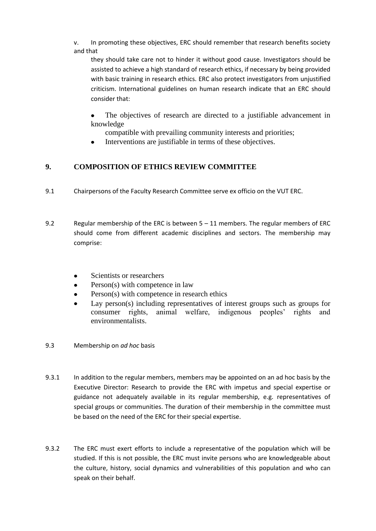v. In promoting these objectives, ERC should remember that research benefits society and that

they should take care not to hinder it without good cause. Investigators should be assisted to achieve a high standard of research ethics, if necessary by being provided with basic training in research ethics. ERC also protect investigators from unjustified criticism. International guidelines on human research indicate that an ERC should consider that:

The objectives of research are directed to a justifiable advancement in knowledge

compatible with prevailing community interests and priorities;

Interventions are justifiable in terms of these objectives.

# **9. COMPOSITION OF ETHICS REVIEW COMMITTEE**

- 9.1 Chairpersons of the Faculty Research Committee serve ex officio on the VUT ERC.
- 9.2 Regular membership of the ERC is between 5 11 members. The regular members of ERC should come from different academic disciplines and sectors. The membership may comprise:
	- Scientists or researchers
	- Person(s) with competence in law
	- Person(s) with competence in research ethics
	- Lay person(s) including representatives of interest groups such as groups for consumer rights, animal welfare, indigenous peoples' rights and environmentalists.
- 9.3 Membership on *ad hoc* basis
- 9.3.1 In addition to the regular members, members may be appointed on an ad hoc basis by the Executive Director: Research to provide the ERC with impetus and special expertise or guidance not adequately available in its regular membership, e.g. representatives of special groups or communities. The duration of their membership in the committee must be based on the need of the ERC for their special expertise.
- 9.3.2 The ERC must exert efforts to include a representative of the population which will be studied. If this is not possible, the ERC must invite persons who are knowledgeable about the culture, history, social dynamics and vulnerabilities of this population and who can speak on their behalf.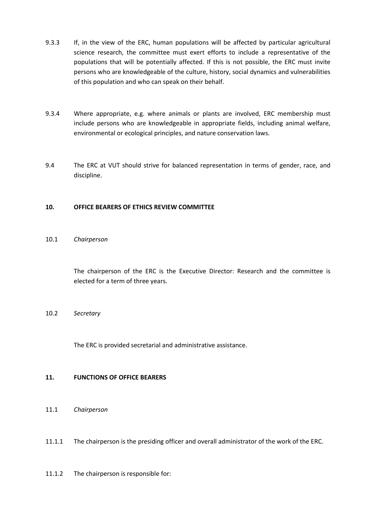- 9.3.3 If, in the view of the ERC, human populations will be affected by particular agricultural science research, the committee must exert efforts to include a representative of the populations that will be potentially affected. If this is not possible, the ERC must invite persons who are knowledgeable of the culture, history, social dynamics and vulnerabilities of this population and who can speak on their behalf.
- 9.3.4 Where appropriate, e.g. where animals or plants are involved, ERC membership must include persons who are knowledgeable in appropriate fields, including animal welfare, environmental or ecological principles, and nature conservation laws.
- 9.4 The ERC at VUT should strive for balanced representation in terms of gender, race, and discipline.

#### **10. OFFICE BEARERS OF ETHICS REVIEW COMMITTEE**

#### 10.1 *Chairperson*

The chairperson of the ERC is the Executive Director: Research and the committee is elected for a term of three years.

#### 10.2 *Secretary*

The ERC is provided secretarial and administrative assistance.

#### **11. FUNCTIONS OF OFFICE BEARERS**

- 11.1 *Chairperson*
- 11.1.1 The chairperson is the presiding officer and overall administrator of the work of the ERC.
- 11.1.2 The chairperson is responsible for: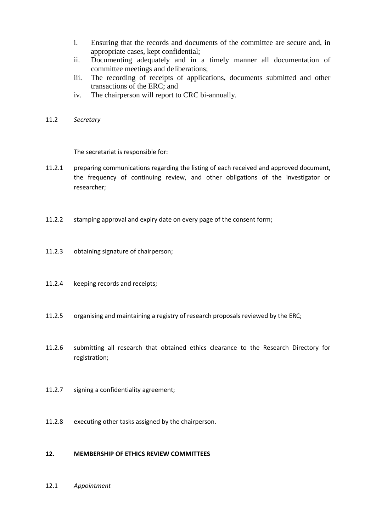- i. Ensuring that the records and documents of the committee are secure and, in appropriate cases, kept confidential;
- ii. Documenting adequately and in a timely manner all documentation of committee meetings and deliberations;
- iii. The recording of receipts of applications, documents submitted and other transactions of the ERC; and
- iv. The chairperson will report to CRC bi-annually.
- 11.2 *Secretary*

The secretariat is responsible for:

- 11.2.1 preparing communications regarding the listing of each received and approved document, the frequency of continuing review, and other obligations of the investigator or researcher;
- 11.2.2 stamping approval and expiry date on every page of the consent form;
- 11.2.3 obtaining signature of chairperson;
- 11.2.4 keeping records and receipts;
- 11.2.5 organising and maintaining a registry of research proposals reviewed by the ERC;
- 11.2.6 submitting all research that obtained ethics clearance to the Research Directory for registration;
- 11.2.7 signing a confidentiality agreement;
- 11.2.8 executing other tasks assigned by the chairperson.

#### **12. MEMBERSHIP OF ETHICS REVIEW COMMITTEES**

12.1 *Appointment*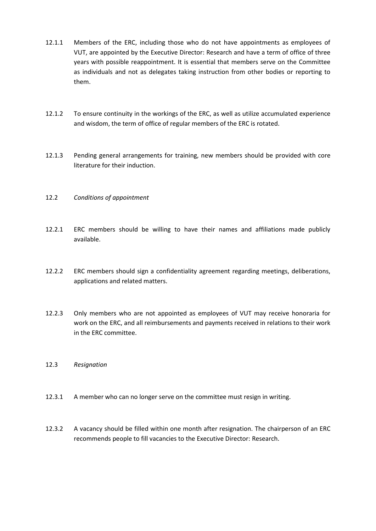- 12.1.1 Members of the ERC, including those who do not have appointments as employees of VUT, are appointed by the Executive Director: Research and have a term of office of three years with possible reappointment. It is essential that members serve on the Committee as individuals and not as delegates taking instruction from other bodies or reporting to them.
- 12.1.2 To ensure continuity in the workings of the ERC, as well as utilize accumulated experience and wisdom, the term of office of regular members of the ERC is rotated.
- 12.1.3 Pending general arrangements for training, new members should be provided with core literature for their induction.
- 12.2 *Conditions of appointment*
- 12.2.1 ERC members should be willing to have their names and affiliations made publicly available.
- 12.2.2 ERC members should sign a confidentiality agreement regarding meetings, deliberations, applications and related matters.
- 12.2.3 Only members who are not appointed as employees of VUT may receive honoraria for work on the ERC, and all reimbursements and payments received in relations to their work in the ERC committee.
- 12.3 *Resignation*
- 12.3.1 A member who can no longer serve on the committee must resign in writing.
- 12.3.2 A vacancy should be filled within one month after resignation. The chairperson of an ERC recommends people to fill vacancies to the Executive Director: Research.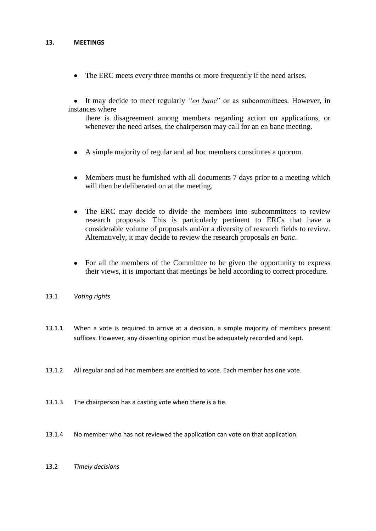#### **13. MEETINGS**

The ERC meets every three months or more frequently if the need arises.  $\bullet$ 

It may decide to meet regularly *"en banc*" or as subcommittees. However, in instances where

there is disagreement among members regarding action on applications, or whenever the need arises, the chairperson may call for an en banc meeting.

- A simple majority of regular and ad hoc members constitutes a quorum.
- Members must be furnished with all documents 7 days prior to a meeting which will then be deliberated on at the meeting.
- The ERC may decide to divide the members into subcommittees to review  $\bullet$ research proposals. This is particularly pertinent to ERCs that have a considerable volume of proposals and/or a diversity of research fields to review. Alternatively, it may decide to review the research proposals *en banc*.
- For all the members of the Committee to be given the opportunity to express their views, it is important that meetings be held according to correct procedure.
- 13.1 *Voting rights*
- 13.1.1 When a vote is required to arrive at a decision, a simple majority of members present suffices. However, any dissenting opinion must be adequately recorded and kept.
- 13.1.2 All regular and ad hoc members are entitled to vote. Each member has one vote.
- 13.1.3 The chairperson has a casting vote when there is a tie.
- 13.1.4 No member who has not reviewed the application can vote on that application.
- 13.2 *Timely decisions*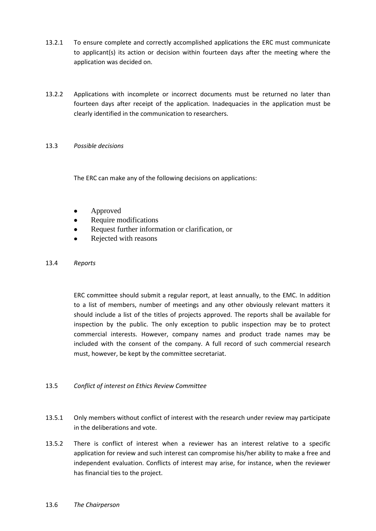- 13.2.1 To ensure complete and correctly accomplished applications the ERC must communicate to applicant(s) its action or decision within fourteen days after the meeting where the application was decided on.
- 13.2.2 Applications with incomplete or incorrect documents must be returned no later than fourteen days after receipt of the application. Inadequacies in the application must be clearly identified in the communication to researchers.

#### 13.3 *Possible decisions*

The ERC can make any of the following decisions on applications:

- Approved
- Require modifications
- Request further information or clarification, or
- Rejected with reasons

#### 13.4 *Reports*

ERC committee should submit a regular report, at least annually, to the EMC. In addition to a list of members, number of meetings and any other obviously relevant matters it should include a list of the titles of projects approved. The reports shall be available for inspection by the public. The only exception to public inspection may be to protect commercial interests. However, company names and product trade names may be included with the consent of the company. A full record of such commercial research must, however, be kept by the committee secretariat.

# 13.5 *Conflict of interest on Ethics Review Committee*

- 13.5.1 Only members without conflict of interest with the research under review may participate in the deliberations and vote.
- 13.5.2 There is conflict of interest when a reviewer has an interest relative to a specific application for review and such interest can compromise his/her ability to make a free and independent evaluation. Conflicts of interest may arise, for instance, when the reviewer has financial ties to the project.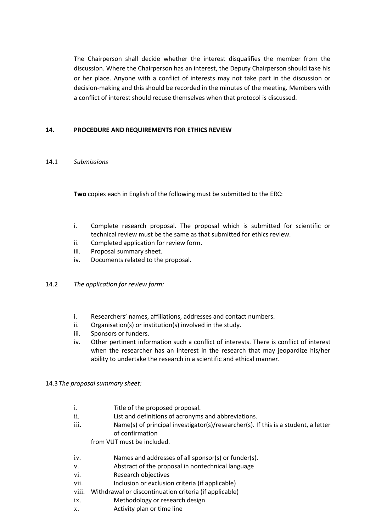The Chairperson shall decide whether the interest disqualifies the member from the discussion. Where the Chairperson has an interest, the Deputy Chairperson should take his or her place. Anyone with a conflict of interests may not take part in the discussion or decision-making and this should be recorded in the minutes of the meeting. Members with a conflict of interest should recuse themselves when that protocol is discussed.

## **14. PROCEDURE AND REQUIREMENTS FOR ETHICS REVIEW**

#### 14.1 *Submissions*

**Two** copies each in English of the following must be submitted to the ERC:

- i. Complete research proposal. The proposal which is submitted for scientific or technical review must be the same as that submitted for ethics review.
- ii. Completed application for review form.
- iii. Proposal summary sheet.
- iv. Documents related to the proposal.
- 14.2 *The application for review form:*
	- i. Researchers' names, affiliations, addresses and contact numbers.
	- ii. Organisation(s) or institution(s) involved in the study.
	- iii. Sponsors or funders.
	- iv. Other pertinent information such a conflict of interests. There is conflict of interest when the researcher has an interest in the research that may jeopardize his/her ability to undertake the research in a scientific and ethical manner.
- 14.3*The proposal summary sheet:*
	- i. Title of the proposed proposal.
	- ii. List and definitions of acronyms and abbreviations.
	- iii. Name(s) of principal investigator(s)/researcher(s). If this is a student, a letter of confirmation

from VUT must be included.

- iv. Names and addresses of all sponsor(s) or funder(s).
- v. Abstract of the proposal in nontechnical language
- vi. Research objectives
- vii. Inclusion or exclusion criteria (if applicable)
- viii. Withdrawal or discontinuation criteria (if applicable)
- ix. Methodology or research design
- x. Activity plan or time line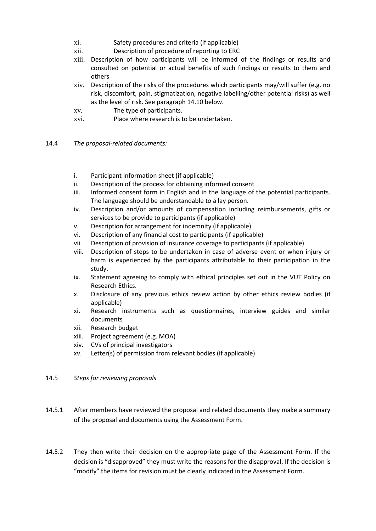- xi. Safety procedures and criteria (if applicable)
- xii. Description of procedure of reporting to ERC
- xiii. Description of how participants will be informed of the findings or results and consulted on potential or actual benefits of such findings or results to them and others
- xiv. Description of the risks of the procedures which participants may/will suffer (e.g. no risk, discomfort, pain, stigmatization, negative labelling/other potential risks) as well as the level of risk. See paragraph 14.10 below.
- xv. The type of participants.
- xvi. Place where research is to be undertaken.
- 14.4 *The proposal-related documents:*
	- i. Participant information sheet (if applicable)
	- ii. Description of the process for obtaining informed consent
	- iii. Informed consent form in English and in the language of the potential participants. The language should be understandable to a lay person.
	- iv. Description and/or amounts of compensation including reimbursements, gifts or services to be provide to participants (if applicable)
	- v. Description for arrangement for indemnity (if applicable)
	- vi. Description of any financial cost to participants (if applicable)
	- vii. Description of provision of insurance coverage to participants (if applicable)
	- viii. Description of steps to be undertaken in case of adverse event or when injury or harm is experienced by the participants attributable to their participation in the study.
	- ix. Statement agreeing to comply with ethical principles set out in the VUT Policy on Research Ethics.
	- x. Disclosure of any previous ethics review action by other ethics review bodies (if applicable)
	- xi. Research instruments such as questionnaires, interview guides and similar documents
	- xii. Research budget
	- xiii. Project agreement (e.g. MOA)
	- xiv. CVs of principal investigators
	- xv. Letter(s) of permission from relevant bodies (if applicable)
- 14.5 *Steps for reviewing proposals*
- 14.5.1 After members have reviewed the proposal and related documents they make a summary of the proposal and documents using the Assessment Form.
- 14.5.2 They then write their decision on the appropriate page of the Assessment Form. If the decision is "disapproved" they must write the reasons for the disapproval. If the decision is "modify" the items for revision must be clearly indicated in the Assessment Form.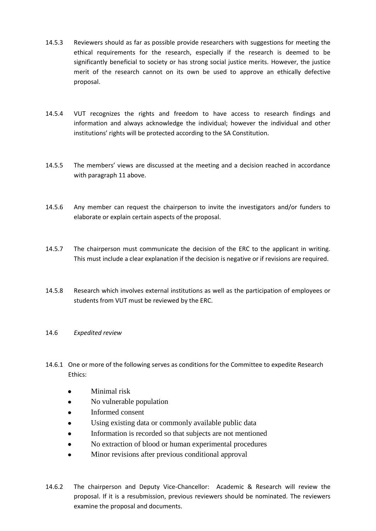- 14.5.3 Reviewers should as far as possible provide researchers with suggestions for meeting the ethical requirements for the research, especially if the research is deemed to be significantly beneficial to society or has strong social justice merits. However, the justice merit of the research cannot on its own be used to approve an ethically defective proposal.
- 14.5.4 VUT recognizes the rights and freedom to have access to research findings and information and always acknowledge the individual; however the individual and other institutions' rights will be protected according to the SA Constitution.
- 14.5.5 The members' views are discussed at the meeting and a decision reached in accordance with paragraph 11 above.
- 14.5.6 Any member can request the chairperson to invite the investigators and/or funders to elaborate or explain certain aspects of the proposal.
- 14.5.7 The chairperson must communicate the decision of the ERC to the applicant in writing. This must include a clear explanation if the decision is negative or if revisions are required.
- 14.5.8 Research which involves external institutions as well as the participation of employees or students from VUT must be reviewed by the ERC.

#### 14.6 *Expedited review*

- 14.6.1 One or more of the following serves as conditions for the Committee to expedite Research Ethics:
	- Minimal risk
	- $\bullet$ No vulnerable population
	- Informed consent
	- Using existing data or commonly available public data
	- Information is recorded so that subjects are not mentioned
	- No extraction of blood or human experimental procedures
	- Minor revisions after previous conditional approval
- 14.6.2 The chairperson and Deputy Vice-Chancellor: Academic & Research will review the proposal. If it is a resubmission, previous reviewers should be nominated. The reviewers examine the proposal and documents.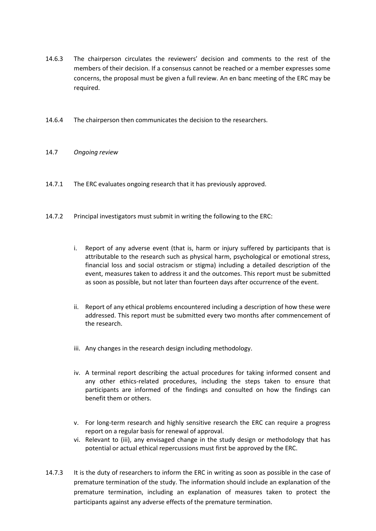- 14.6.3 The chairperson circulates the reviewers' decision and comments to the rest of the members of their decision. If a consensus cannot be reached or a member expresses some concerns, the proposal must be given a full review. An en banc meeting of the ERC may be required.
- 14.6.4 The chairperson then communicates the decision to the researchers.

#### 14.7 *Ongoing review*

- 14.7.1 The ERC evaluates ongoing research that it has previously approved.
- 14.7.2 Principal investigators must submit in writing the following to the ERC:
	- i. Report of any adverse event (that is, harm or injury suffered by participants that is attributable to the research such as physical harm, psychological or emotional stress, financial loss and social ostracism or stigma) including a detailed description of the event, measures taken to address it and the outcomes. This report must be submitted as soon as possible, but not later than fourteen days after occurrence of the event.
	- ii. Report of any ethical problems encountered including a description of how these were addressed. This report must be submitted every two months after commencement of the research.
	- iii. Any changes in the research design including methodology.
	- iv. A terminal report describing the actual procedures for taking informed consent and any other ethics-related procedures, including the steps taken to ensure that participants are informed of the findings and consulted on how the findings can benefit them or others.
	- v. For long-term research and highly sensitive research the ERC can require a progress report on a regular basis for renewal of approval.
	- vi. Relevant to (iii), any envisaged change in the study design or methodology that has potential or actual ethical repercussions must first be approved by the ERC.
- 14.7.3 It is the duty of researchers to inform the ERC in writing as soon as possible in the case of premature termination of the study. The information should include an explanation of the premature termination, including an explanation of measures taken to protect the participants against any adverse effects of the premature termination.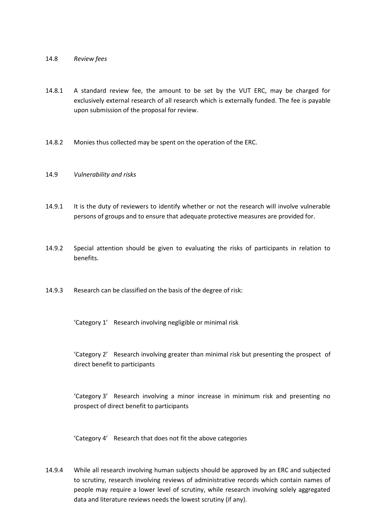#### 14.8 *Review fees*

- 14.8.1 A standard review fee, the amount to be set by the VUT ERC, may be charged for exclusively external research of all research which is externally funded. The fee is payable upon submission of the proposal for review.
- 14.8.2 Monies thus collected may be spent on the operation of the ERC.
- 14.9 *Vulnerability and risks*
- 14.9.1 It is the duty of reviewers to identify whether or not the research will involve vulnerable persons of groups and to ensure that adequate protective measures are provided for.
- 14.9.2 Special attention should be given to evaluating the risks of participants in relation to benefits.
- 14.9.3 Research can be classified on the basis of the degree of risk:

'Category 1' Research involving negligible or minimal risk

'Category 2' Research involving greater than minimal risk but presenting the prospect of direct benefit to participants

'Category 3' Research involving a minor increase in minimum risk and presenting no prospect of direct benefit to participants

'Category 4' Research that does not fit the above categories

14.9.4 While all research involving human subjects should be approved by an ERC and subjected to scrutiny, research involving reviews of administrative records which contain names of people may require a lower level of scrutiny, while research involving solely aggregated data and literature reviews needs the lowest scrutiny (if any).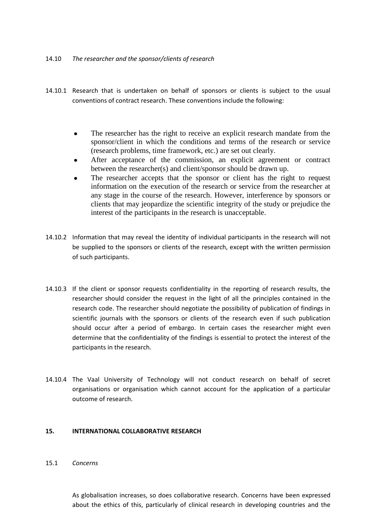#### 14.10 *The researcher and the sponsor/clients of research*

- 14.10.1 Research that is undertaken on behalf of sponsors or clients is subject to the usual conventions of contract research. These conventions include the following:
	- The researcher has the right to receive an explicit research mandate from the sponsor/client in which the conditions and terms of the research or service (research problems, time framework, etc.) are set out clearly.
	- After acceptance of the commission, an explicit agreement or contract between the researcher(s) and client/sponsor should be drawn up.
	- The researcher accepts that the sponsor or client has the right to request information on the execution of the research or service from the researcher at any stage in the course of the research. However, interference by sponsors or clients that may jeopardize the scientific integrity of the study or prejudice the interest of the participants in the research is unacceptable.
- 14.10.2 Information that may reveal the identity of individual participants in the research will not be supplied to the sponsors or clients of the research, except with the written permission of such participants.
- 14.10.3 If the client or sponsor requests confidentiality in the reporting of research results, the researcher should consider the request in the light of all the principles contained in the research code. The researcher should negotiate the possibility of publication of findings in scientific journals with the sponsors or clients of the research even if such publication should occur after a period of embargo. In certain cases the researcher might even determine that the confidentiality of the findings is essential to protect the interest of the participants in the research.
- 14.10.4 The Vaal University of Technology will not conduct research on behalf of secret organisations or organisation which cannot account for the application of a particular outcome of research.

#### **15. INTERNATIONAL COLLABORATIVE RESEARCH**

15.1 *Concerns*

As globalisation increases, so does collaborative research. Concerns have been expressed about the ethics of this, particularly of clinical research in developing countries and the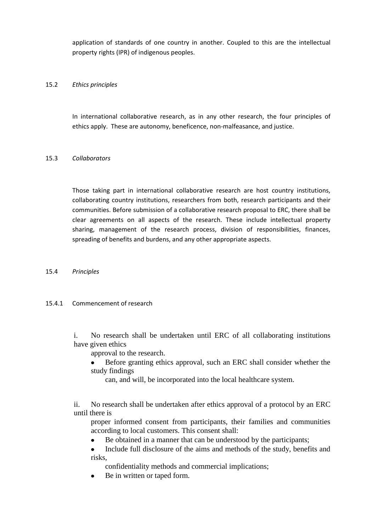application of standards of one country in another. Coupled to this are the intellectual property rights (IPR) of indigenous peoples.

#### 15.2 *Ethics principles*

In international collaborative research, as in any other research, the four principles of ethics apply. These are autonomy, beneficence, non-malfeasance, and justice.

#### 15.3 *Collaborators*

Those taking part in international collaborative research are host country institutions, collaborating country institutions, researchers from both, research participants and their communities. Before submission of a collaborative research proposal to ERC, there shall be clear agreements on all aspects of the research. These include intellectual property sharing, management of the research process, division of responsibilities, finances, spreading of benefits and burdens, and any other appropriate aspects.

#### 15.4 *Principles*

# 15.4.1 Commencement of research

i. No research shall be undertaken until ERC of all collaborating institutions have given ethics

approval to the research.

- Before granting ethics approval, such an ERC shall consider whether the study findings
	- can, and will, be incorporated into the local healthcare system.

ii. No research shall be undertaken after ethics approval of a protocol by an ERC until there is

proper informed consent from participants, their families and communities according to local customers. This consent shall:

- Be obtained in a manner that can be understood by the participants;  $\bullet$
- $\bullet$ Include full disclosure of the aims and methods of the study, benefits and risks,

confidentiality methods and commercial implications;

Be in written or taped form.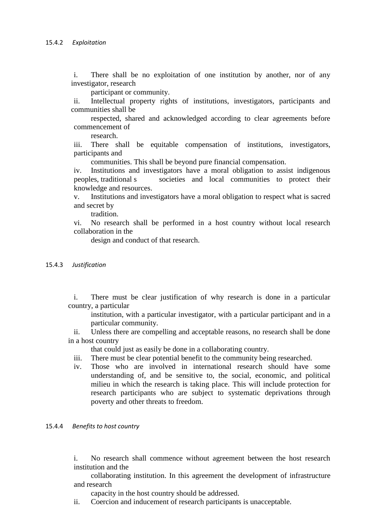i. There shall be no exploitation of one institution by another, nor of any investigator, research

participant or community.

ii. Intellectual property rights of institutions, investigators, participants and communities shall be

respected, shared and acknowledged according to clear agreements before commencement of

research.

iii. There shall be equitable compensation of institutions, investigators, participants and

communities. This shall be beyond pure financial compensation.

iv. Institutions and investigators have a moral obligation to assist indigenous peoples, traditional s societies and local communities to protect their knowledge and resources.

v. Institutions and investigators have a moral obligation to respect what is sacred and secret by

tradition.

vi. No research shall be performed in a host country without local research collaboration in the

design and conduct of that research.

15.4.3 *Justification*

i. There must be clear justification of why research is done in a particular country, a particular

institution, with a particular investigator, with a particular participant and in a particular community.

ii. Unless there are compelling and acceptable reasons, no research shall be done in a host country

that could just as easily be done in a collaborating country.

- iii. There must be clear potential benefit to the community being researched.
- iv. Those who are involved in international research should have some understanding of, and be sensitive to, the social, economic, and political milieu in which the research is taking place. This will include protection for research participants who are subject to systematic deprivations through poverty and other threats to freedom.

#### 15.4.4 *Benefits to host country*

i. No research shall commence without agreement between the host research institution and the

collaborating institution. In this agreement the development of infrastructure and research

capacity in the host country should be addressed.

ii. Coercion and inducement of research participants is unacceptable.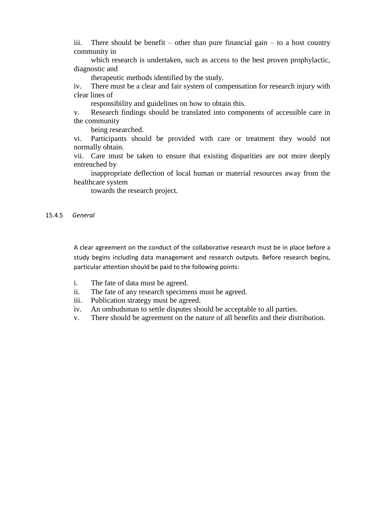iii. There should be benefit – other than pure financial gain – to a host country community in

which research is undertaken, such as access to the best proven prophylactic, diagnostic and

therapeutic methods identified by the study.

iv. There must be a clear and fair system of compensation for research injury with clear lines of

responsibility and guidelines on how to obtain this.

v. Research findings should be translated into components of accessible care in the community

being researched.

vi. Participants should be provided with care or treatment they would not normally obtain.

vii. Care must be taken to ensure that existing disparities are not more deeply entrenched by

inappropriate deflection of local human or material resources away from the healthcare system

towards the research project.

15.4.5 *General*

A clear agreement on the conduct of the collaborative research must be in place before a study begins including data management and research outputs. Before research begins, particular attention should be paid to the following points:

- i. The fate of data must be agreed.
- ii. The fate of any research specimens must be agreed.
- iii. Publication strategy must be agreed.
- iv. An ombudsman to settle disputes should be acceptable to all parties.
- v. There should be agreement on the nature of all benefits and their distribution.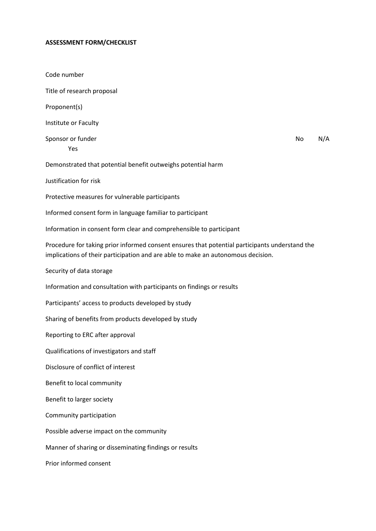#### **ASSESSMENT FORM/CHECKLIST**

Code number Title of research proposal Proponent(s) Institute or Faculty Sponsor or funder No No N/A Yes Demonstrated that potential benefit outweighs potential harm Justification for risk Protective measures for vulnerable participants

Informed consent form in language familiar to participant

Information in consent form clear and comprehensible to participant

Procedure for taking prior informed consent ensures that potential participants understand the implications of their participation and are able to make an autonomous decision.

Security of data storage

Information and consultation with participants on findings or results

Participants' access to products developed by study

Sharing of benefits from products developed by study

Reporting to ERC after approval

Qualifications of investigators and staff

Disclosure of conflict of interest

Benefit to local community

Benefit to larger society

Community participation

Possible adverse impact on the community

Manner of sharing or disseminating findings or results

Prior informed consent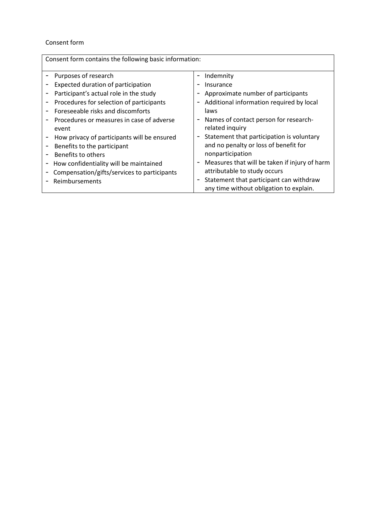#### Consent form

| Consent form contains the following basic information:                                                  |                                                                                                                                                                     |
|---------------------------------------------------------------------------------------------------------|---------------------------------------------------------------------------------------------------------------------------------------------------------------------|
| Purposes of research                                                                                    | Indemnity                                                                                                                                                           |
| Expected duration of participation                                                                      | Insurance                                                                                                                                                           |
| Participant's actual role in the study                                                                  | Approximate number of participants                                                                                                                                  |
| Procedures for selection of participants                                                                | Additional information required by local                                                                                                                            |
| Foreseeable risks and discomforts                                                                       | laws                                                                                                                                                                |
| Procedures or measures in case of adverse                                                               | Names of contact person for research-                                                                                                                               |
| event                                                                                                   | related inquiry                                                                                                                                                     |
| How privacy of participants will be ensured                                                             | Statement that participation is voluntary                                                                                                                           |
| Benefits to the participant                                                                             | and no penalty or loss of benefit for                                                                                                                               |
| Benefits to others                                                                                      | nonparticipation                                                                                                                                                    |
| How confidentiality will be maintained<br>Compensation/gifts/services to participants<br>Reimbursements | Measures that will be taken if injury of harm<br>attributable to study occurs<br>Statement that participant can withdraw<br>any time without obligation to explain. |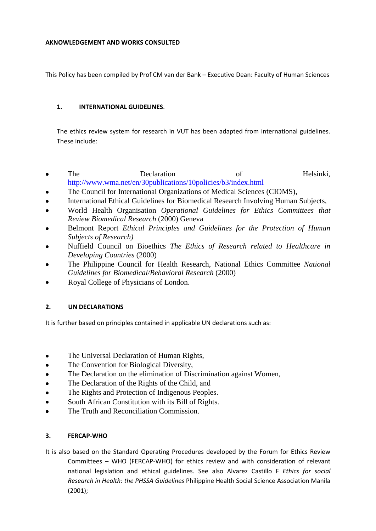#### **AKNOWLEDGEMENT AND WORKS CONSULTED**

This Policy has been compiled by Prof CM van der Bank – Executive Dean: Faculty of Human Sciences

# **1. INTERNATIONAL GUIDELINES**.

The ethics review system for research in VUT has been adapted from international guidelines. These include:

- The Declaration of Helsinki,  $\bullet$ <http://www.wma.net/en/30publications/10policies/b3/index.html>
- The Council for International Organizations of Medical Sciences (CIOMS),
- International Ethical Guidelines for Biomedical Research Involving Human Subjects,
- World Health Organisation *Operational Guidelines for Ethics Committees that Review Biomedical Research* (2000) Geneva
- Belmont Report *Ethical Principles and Guidelines for the Protection of Human Subjects of Research)*
- Nuffield Council on Bioethics *The Ethics of Research related to Healthcare in Developing Countries* (2000)
- The Philippine Council for Health Research, National Ethics Committee *National Guidelines for Biomedical/Behavioral Research* (2000)
- Royal College of Physicians of London.

# **2. UN DECLARATIONS**

It is further based on principles contained in applicable UN declarations such as:

- The Universal Declaration of Human Rights,
- The Convention for Biological Diversity,
- The Declaration on the elimination of Discrimination against Women,
- The Declaration of the Rights of the Child, and
- The Rights and Protection of Indigenous Peoples.
- $\bullet$ South African Constitution with its Bill of Rights.
- The Truth and Reconciliation Commission.

# **3. FERCAP-WHO**

It is also based on the Standard Operating Procedures developed by the Forum for Ethics Review Committees – WHO (FERCAP-WHO) for ethics review and with consideration of relevant national legislation and ethical guidelines. See also Alvarez Castillo F *Ethics for social Research in Health*: *the PHSSA Guidelines* Philippine Health Social Science Association Manila (2001);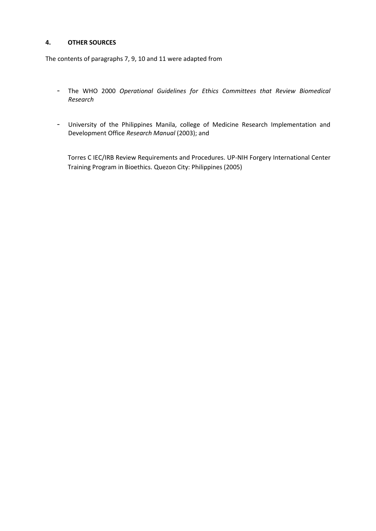#### **4. OTHER SOURCES**

The contents of paragraphs 7, 9, 10 and 11 were adapted from

- The WHO 2000 *Operational Guidelines for Ethics Committees that Review Biomedical Research*
- University of the Philippines Manila, college of Medicine Research Implementation and Development Office *Research Manual* (2003); and

Torres C IEC/IRB Review Requirements and Procedures. UP-NIH Forgery International Center Training Program in Bioethics. Quezon City: Philippines (2005)